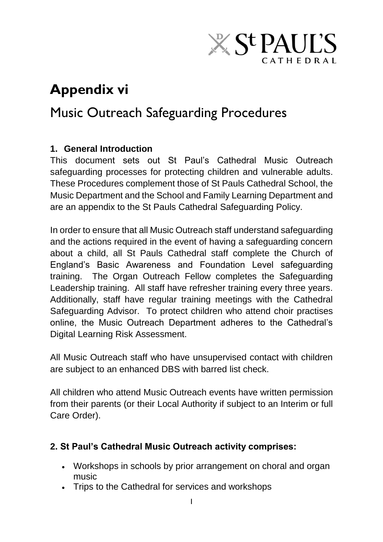# **X St PAUL'S** CATHEDRAL

## **Appendix vi**

## Music Outreach Safeguarding Procedures

## **1. General Introduction**

This document sets out St Paul's Cathedral Music Outreach safeguarding processes for protecting children and vulnerable adults. These Procedures complement those of St Pauls Cathedral School, the Music Department and the School and Family Learning Department and are an appendix to the St Pauls Cathedral Safeguarding Policy.

In order to ensure that all Music Outreach staff understand safeguarding and the actions required in the event of having a safeguarding concern about a child, all St Pauls Cathedral staff complete the Church of England's Basic Awareness and Foundation Level safeguarding training. The Organ Outreach Fellow completes the Safeguarding Leadership training. All staff have refresher training every three years. Additionally, staff have regular training meetings with the Cathedral Safeguarding Advisor. To protect children who attend choir practises online, the Music Outreach Department adheres to the Cathedral's Digital Learning Risk Assessment.

All Music Outreach staff who have unsupervised contact with children are subject to an enhanced DBS with barred list check.

All children who attend Music Outreach events have written permission from their parents (or their Local Authority if subject to an Interim or full Care Order).

### **2. St Paul's Cathedral Music Outreach activity comprises:**

- Workshops in schools by prior arrangement on choral and organ music
- Trips to the Cathedral for services and workshops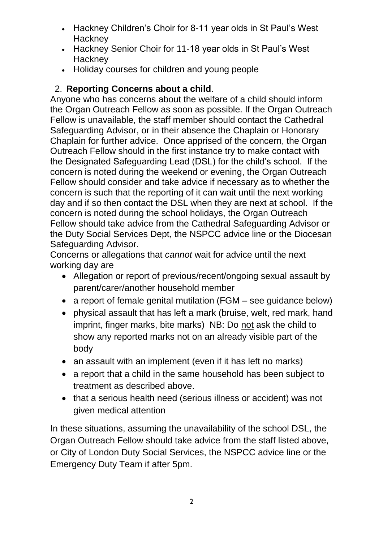- Hackney Children's Choir for 8-11 year olds in St Paul's West **Hackney**
- Hackney Senior Choir for 11-18 year olds in St Paul's West **Hackney**
- Holiday courses for children and young people

## 2. **Reporting Concerns about a child**.

Anyone who has concerns about the welfare of a child should inform the Organ Outreach Fellow as soon as possible. If the Organ Outreach Fellow is unavailable, the staff member should contact the Cathedral Safeguarding Advisor, or in their absence the Chaplain or Honorary Chaplain for further advice. Once apprised of the concern, the Organ Outreach Fellow should in the first instance try to make contact with the Designated Safeguarding Lead (DSL) for the child's school. If the concern is noted during the weekend or evening, the Organ Outreach Fellow should consider and take advice if necessary as to whether the concern is such that the reporting of it can wait until the next working day and if so then contact the DSL when they are next at school. If the concern is noted during the school holidays, the Organ Outreach Fellow should take advice from the Cathedral Safeguarding Advisor or the Duty Social Services Dept, the NSPCC advice line or the Diocesan Safeguarding Advisor.

Concerns or allegations that *cannot* wait for advice until the next working day are

- Allegation or report of previous/recent/ongoing sexual assault by parent/carer/another household member
- a report of female genital mutilation (FGM see quidance below)
- physical assault that has left a mark (bruise, welt, red mark, hand imprint, finger marks, bite marks) NB: Do not ask the child to show any reported marks not on an already visible part of the body
- an assault with an implement (even if it has left no marks)
- a report that a child in the same household has been subject to treatment as described above.
- that a serious health need (serious illness or accident) was not given medical attention

In these situations, assuming the unavailability of the school DSL, the Organ Outreach Fellow should take advice from the staff listed above, or City of London Duty Social Services, the NSPCC advice line or the Emergency Duty Team if after 5pm.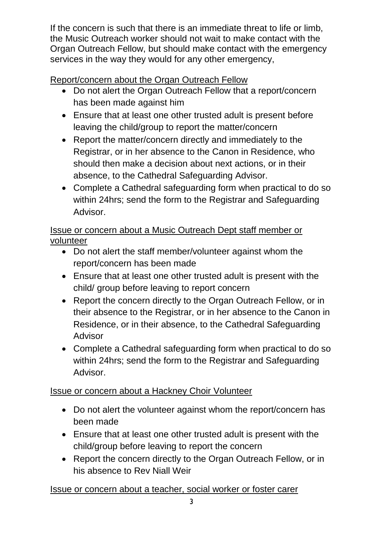If the concern is such that there is an immediate threat to life or limb, the Music Outreach worker should not wait to make contact with the Organ Outreach Fellow, but should make contact with the emergency services in the way they would for any other emergency,

## Report/concern about the Organ Outreach Fellow

- Do not alert the Organ Outreach Fellow that a report/concern has been made against him
- Ensure that at least one other trusted adult is present before leaving the child/group to report the matter/concern
- Report the matter/concern directly and immediately to the Registrar, or in her absence to the Canon in Residence, who should then make a decision about next actions, or in their absence, to the Cathedral Safeguarding Advisor.
- Complete a Cathedral safeguarding form when practical to do so within 24hrs; send the form to the Registrar and Safeguarding Advisor.

Issue or concern about a Music Outreach Dept staff member or volunteer

- Do not alert the staff member/volunteer against whom the report/concern has been made
- Ensure that at least one other trusted adult is present with the child/ group before leaving to report concern
- Report the concern directly to the Organ Outreach Fellow, or in their absence to the Registrar, or in her absence to the Canon in Residence, or in their absence, to the Cathedral Safeguarding Advisor
- Complete a Cathedral safeguarding form when practical to do so within 24hrs; send the form to the Registrar and Safeguarding Advisor.

## Issue or concern about a Hackney Choir Volunteer

- Do not alert the volunteer against whom the report/concern has been made
- Ensure that at least one other trusted adult is present with the child/group before leaving to report the concern
- Report the concern directly to the Organ Outreach Fellow, or in his absence to Rev Niall Weir

## Issue or concern about a teacher, social worker or foster carer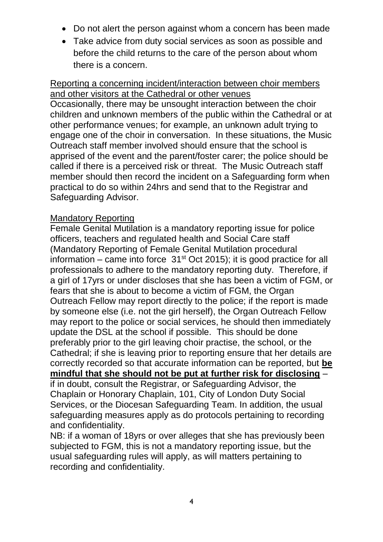- Do not alert the person against whom a concern has been made
- Take advice from duty social services as soon as possible and before the child returns to the care of the person about whom there is a concern.

#### Reporting a concerning incident/interaction between choir members and other visitors at the Cathedral or other venues

Occasionally, there may be unsought interaction between the choir children and unknown members of the public within the Cathedral or at other performance venues; for example, an unknown adult trying to engage one of the choir in conversation. In these situations, the Music Outreach staff member involved should ensure that the school is apprised of the event and the parent/foster carer; the police should be called if there is a perceived risk or threat. The Music Outreach staff member should then record the incident on a Safeguarding form when practical to do so within 24hrs and send that to the Registrar and Safeguarding Advisor.

#### Mandatory Reporting

Female Genital Mutilation is a mandatory reporting issue for police officers, teachers and regulated health and Social Care staff (Mandatory Reporting of Female Genital Mutilation procedural information – came into force  $31<sup>st</sup>$  Oct 2015); it is good practice for all professionals to adhere to the mandatory reporting duty. Therefore, if a girl of 17yrs or under discloses that she has been a victim of FGM, or fears that she is about to become a victim of FGM, the Organ Outreach Fellow may report directly to the police; if the report is made by someone else (i.e. not the girl herself), the Organ Outreach Fellow may report to the police or social services, he should then immediately update the DSL at the school if possible. This should be done preferably prior to the girl leaving choir practise, the school, or the Cathedral; if she is leaving prior to reporting ensure that her details are correctly recorded so that accurate information can be reported, but **be mindful that she should not be put at further risk for disclosing** – if in doubt, consult the Registrar, or Safeguarding Advisor, the Chaplain or Honorary Chaplain, 101, City of London Duty Social Services, or the Diocesan Safeguarding Team. In addition, the usual safeguarding measures apply as do protocols pertaining to recording and confidentiality.

NB: if a woman of 18yrs or over alleges that she has previously been subjected to FGM, this is not a mandatory reporting issue, but the usual safeguarding rules will apply, as will matters pertaining to recording and confidentiality.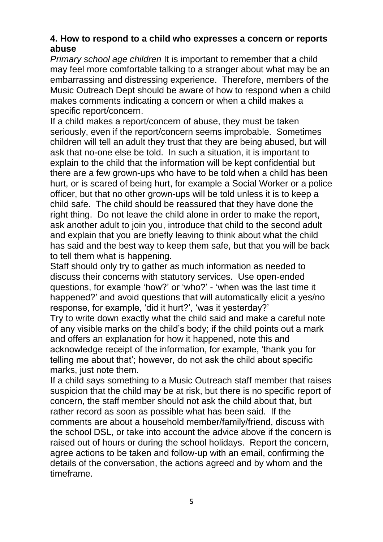#### **4. How to respond to a child who expresses a concern or reports abuse**

*Primary school age children* It is important to remember that a child may feel more comfortable talking to a stranger about what may be an embarrassing and distressing experience. Therefore, members of the Music Outreach Dept should be aware of how to respond when a child makes comments indicating a concern or when a child makes a specific report/concern.

If a child makes a report/concern of abuse, they must be taken seriously, even if the report/concern seems improbable. Sometimes children will tell an adult they trust that they are being abused, but will ask that no-one else be told. In such a situation, it is important to explain to the child that the information will be kept confidential but there are a few grown-ups who have to be told when a child has been hurt, or is scared of being hurt, for example a Social Worker or a police officer, but that no other grown-ups will be told unless it is to keep a child safe. The child should be reassured that they have done the right thing. Do not leave the child alone in order to make the report, ask another adult to join you, introduce that child to the second adult and explain that you are briefly leaving to think about what the child has said and the best way to keep them safe, but that you will be back to tell them what is happening.

Staff should only try to gather as much information as needed to discuss their concerns with statutory services. Use open-ended questions, for example 'how?' or 'who?' - 'when was the last time it happened?' and avoid questions that will automatically elicit a yes/no response, for example, 'did it hurt?', 'was it yesterday?'

Try to write down exactly what the child said and make a careful note of any visible marks on the child's body; if the child points out a mark and offers an explanation for how it happened, note this and acknowledge receipt of the information, for example, 'thank you for telling me about that'; however, do not ask the child about specific marks, just note them.

If a child says something to a Music Outreach staff member that raises suspicion that the child may be at risk, but there is no specific report of concern, the staff member should not ask the child about that, but rather record as soon as possible what has been said. If the comments are about a household member/family/friend, discuss with the school DSL, or take into account the advice above if the concern is raised out of hours or during the school holidays. Report the concern, agree actions to be taken and follow-up with an email, confirming the details of the conversation, the actions agreed and by whom and the timeframe.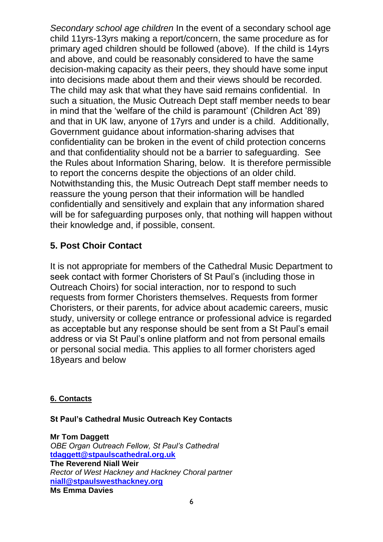*Secondary school age children* In the event of a secondary school age child 11yrs-13yrs making a report/concern, the same procedure as for primary aged children should be followed (above). If the child is 14yrs and above, and could be reasonably considered to have the same decision-making capacity as their peers, they should have some input into decisions made about them and their views should be recorded. The child may ask that what they have said remains confidential. In such a situation, the Music Outreach Dept staff member needs to bear in mind that the 'welfare of the child is paramount' (Children Act '89) and that in UK law, anyone of 17yrs and under is a child. Additionally, Government guidance about information-sharing advises that confidentiality can be broken in the event of child protection concerns and that confidentiality should not be a barrier to safeguarding. See the Rules about Information Sharing, below. It is therefore permissible to report the concerns despite the objections of an older child. Notwithstanding this, the Music Outreach Dept staff member needs to reassure the young person that their information will be handled confidentially and sensitively and explain that any information shared will be for safeguarding purposes only, that nothing will happen without their knowledge and, if possible, consent.

### **5. Post Choir Contact**

It is not appropriate for members of the Cathedral Music Department to seek contact with former Choristers of St Paul's (including those in Outreach Choirs) for social interaction, nor to respond to such requests from former Choristers themselves. Requests from former Choristers, or their parents, for advice about academic careers, music study, university or college entrance or professional advice is regarded as acceptable but any response should be sent from a St Paul's email address or via St Paul's online platform and not from personal emails or personal social media. This applies to all former choristers aged 18years and below

#### **6. Contacts**

#### **St Paul's Cathedral Music Outreach Key Contacts**

**Mr Tom Daggett** *OBE Organ Outreach Fellow, St Paul's Cathedral* **[tdaggett@stpaulscathedral.org.uk](mailto:tdaggett@stpaulscathedral.org.uk) The Reverend Niall Weir** *Rector of West Hackney and Hackney Choral partner* **[niall@stpaulswesthackney.org](mailto:niall@stpaulswesthackney.org) Ms Emma Davies**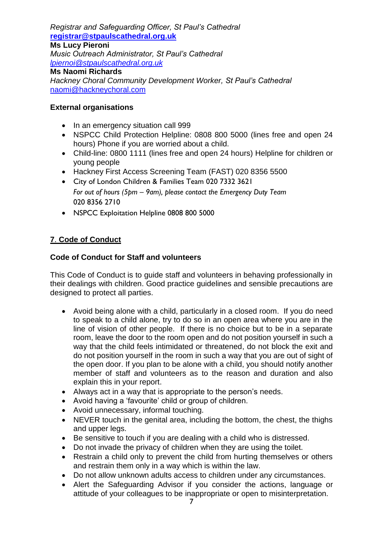*Registrar and Safeguarding Officer, St Paul's Cathedral* **[registrar@stpaulscathedral.org.uk](mailto:registrar@stpaulscathedral.org.uk) Ms Lucy Pieroni** *Music Outreach Administrator, St Paul's Cathedral [lpiernoi@stpaulscathedral.org.uk](mailto:lpiernoi@stpaulscathedral.org.uk)* **Ms Naomi Richards**

*Hackney Choral Community Development Worker, St Paul's Cathedral* [naomi@hackneychoral.com](mailto:naomi@hackneychoral.com)

#### **External organisations**

- In an emergency situation call 999
- NSPCC Child Protection Helpline: 0808 800 5000 (lines free and open 24 hours) Phone if you are worried about a child.
- Child-line: 0800 1111 (lines free and open 24 hours) Helpline for children or young people
- Hackney First Access Screening Team (FAST) 020 8356 5500
- City of London Children & Families Team 020 7332 3621 *For out of hours (5pm – 9am), please contact the Emergency Duty Team* 020 8356 2710
- NSPCC Exploitation Helpline 0808 800 5000

#### **7**. **Code of Conduct**

#### **Code of Conduct for Staff and volunteers**

This Code of Conduct is to guide staff and volunteers in behaving professionally in their dealings with children. Good practice guidelines and sensible precautions are designed to protect all parties.

- Avoid being alone with a child, particularly in a closed room. If you do need to speak to a child alone, try to do so in an open area where you are in the line of vision of other people. If there is no choice but to be in a separate room, leave the door to the room open and do not position yourself in such a way that the child feels intimidated or threatened, do not block the exit and do not position yourself in the room in such a way that you are out of sight of the open door. If you plan to be alone with a child, you should notify another member of staff and volunteers as to the reason and duration and also explain this in your report.
- Always act in a way that is appropriate to the person's needs.
- Avoid having a 'favourite' child or group of children.
- Avoid unnecessary, informal touching.
- NEVER touch in the genital area, including the bottom, the chest, the thighs and upper legs.
- Be sensitive to touch if you are dealing with a child who is distressed.
- Do not invade the privacy of children when they are using the toilet.
- Restrain a child only to prevent the child from hurting themselves or others and restrain them only in a way which is within the law.
- Do not allow unknown adults access to children under any circumstances.
- Alert the Safeguarding Advisor if you consider the actions, language or attitude of your colleagues to be inappropriate or open to misinterpretation.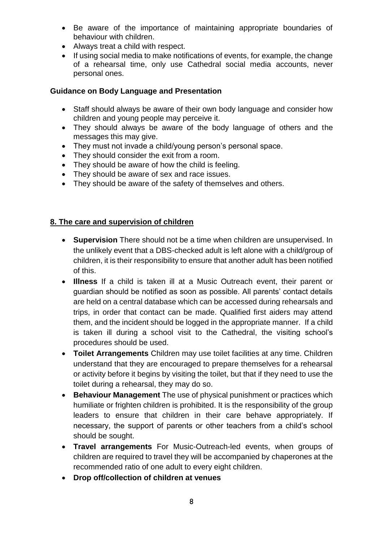- Be aware of the importance of maintaining appropriate boundaries of behaviour with children.
- Always treat a child with respect.
- If using social media to make notifications of events, for example, the change of a rehearsal time, only use Cathedral social media accounts, never personal ones.

#### **Guidance on Body Language and Presentation**

- Staff should always be aware of their own body language and consider how children and young people may perceive it.
- They should always be aware of the body language of others and the messages this may give.
- They must not invade a child/young person's personal space.
- They should consider the exit from a room.
- They should be aware of how the child is feeling.
- They should be aware of sex and race issues.
- They should be aware of the safety of themselves and others.

#### **8. The care and supervision of children**

- **Supervision** There should not be a time when children are unsupervised. In the unlikely event that a DBS-checked adult is left alone with a child/group of children, it is their responsibility to ensure that another adult has been notified of this.
- **Illness** If a child is taken ill at a Music Outreach event, their parent or guardian should be notified as soon as possible. All parents' contact details are held on a central database which can be accessed during rehearsals and trips, in order that contact can be made. Qualified first aiders may attend them, and the incident should be logged in the appropriate manner. If a child is taken ill during a school visit to the Cathedral, the visiting school's procedures should be used.
- **Toilet Arrangements** Children may use toilet facilities at any time. Children understand that they are encouraged to prepare themselves for a rehearsal or activity before it begins by visiting the toilet, but that if they need to use the toilet during a rehearsal, they may do so.
- **Behaviour Management** The use of physical punishment or practices which humiliate or frighten children is prohibited. It is the responsibility of the group leaders to ensure that children in their care behave appropriately. If necessary, the support of parents or other teachers from a child's school should be sought.
- **Travel arrangements** For Music-Outreach-led events, when groups of children are required to travel they will be accompanied by chaperones at the recommended ratio of one adult to every eight children.
- **Drop off/collection of children at venues**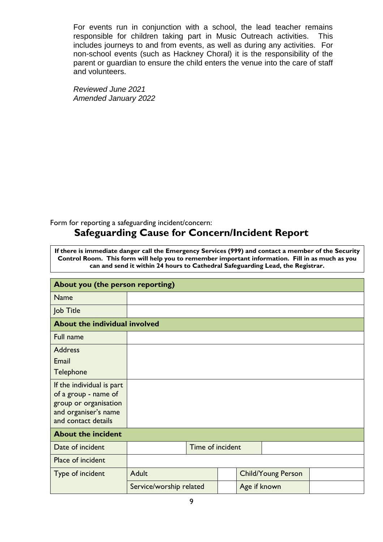For events run in conjunction with a school, the lead teacher remains responsible for children taking part in Music Outreach activities. This includes journeys to and from events, as well as during any activities. For non-school events (such as Hackney Choral) it is the responsibility of the parent or guardian to ensure the child enters the venue into the care of staff and volunteers.

*Reviewed June 2021 Amended January 2022*

#### Form for reporting a safeguarding incident/concern: **Safeguarding Cause for Concern/Incident Report**

**If there is immediate danger call the Emergency Services (999) and contact a member of the Security Control Room. This form will help you to remember important information. Fill in as much as you can and send it within 24 hours to Cathedral Safeguarding Lead, the Registrar.** 

| About you (the person reporting)                                                                                          |                         |  |  |              |                           |  |
|---------------------------------------------------------------------------------------------------------------------------|-------------------------|--|--|--------------|---------------------------|--|
| <b>Name</b>                                                                                                               |                         |  |  |              |                           |  |
| Job Title                                                                                                                 |                         |  |  |              |                           |  |
| About the individual involved                                                                                             |                         |  |  |              |                           |  |
| Full name                                                                                                                 |                         |  |  |              |                           |  |
| <b>Address</b>                                                                                                            |                         |  |  |              |                           |  |
| Email                                                                                                                     |                         |  |  |              |                           |  |
| Telephone                                                                                                                 |                         |  |  |              |                           |  |
| If the individual is part<br>of a group - name of<br>group or organisation<br>and organiser's name<br>and contact details |                         |  |  |              |                           |  |
| <b>About the incident</b>                                                                                                 |                         |  |  |              |                           |  |
| Date of incident                                                                                                          | Time of incident        |  |  |              |                           |  |
| Place of incident                                                                                                         |                         |  |  |              |                           |  |
| Type of incident                                                                                                          | <b>Adult</b>            |  |  |              | <b>Child/Young Person</b> |  |
|                                                                                                                           | Service/worship related |  |  | Age if known |                           |  |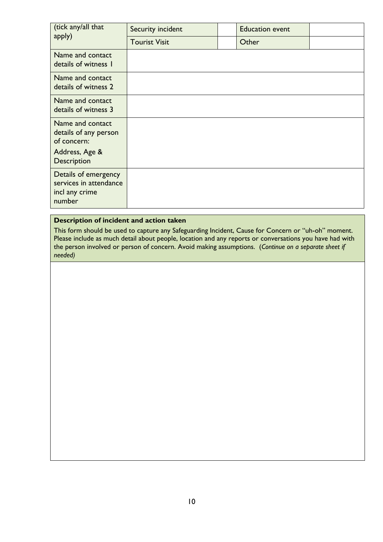| (tick any/all that<br>apply)                                               | Security incident    | <b>Education event</b> |  |
|----------------------------------------------------------------------------|----------------------|------------------------|--|
|                                                                            | <b>Tourist Visit</b> | Other                  |  |
| Name and contact<br>details of witness I                                   |                      |                        |  |
| Name and contact<br>details of witness 2                                   |                      |                        |  |
| Name and contact<br>details of witness 3                                   |                      |                        |  |
| Name and contact<br>details of any person<br>of concern:                   |                      |                        |  |
| Address, Age &<br>Description                                              |                      |                        |  |
| Details of emergency<br>services in attendance<br>incl any crime<br>number |                      |                        |  |

#### **Description of incident and action taken**

This form should be used to capture any Safeguarding Incident, Cause for Concern or "uh-oh" moment. Please include as much detail about people, location and any reports or conversations you have had with the person involved or person of concern. Avoid making assumptions. (*Continue on a separate sheet if needed)*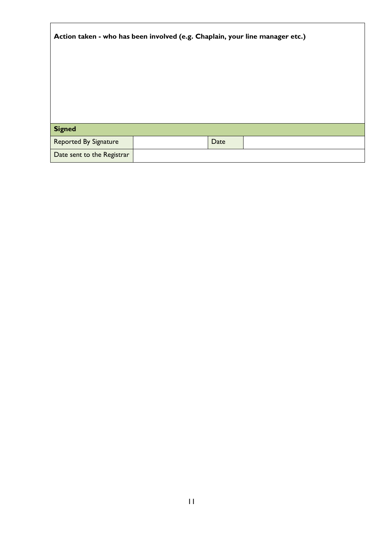| Action taken - who has been involved (e.g. Chaplain, your line manager etc.) |  |      |  |  |  |  |
|------------------------------------------------------------------------------|--|------|--|--|--|--|
|                                                                              |  |      |  |  |  |  |
| <b>Signed</b>                                                                |  |      |  |  |  |  |
| <b>Reported By Signature</b>                                                 |  | Date |  |  |  |  |
| Date sent to the Registrar                                                   |  |      |  |  |  |  |